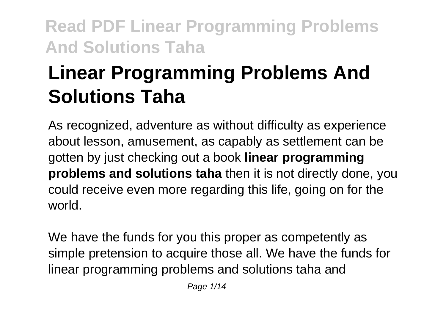# **Linear Programming Problems And Solutions Taha**

As recognized, adventure as without difficulty as experience about lesson, amusement, as capably as settlement can be gotten by just checking out a book **linear programming problems and solutions taha** then it is not directly done, you could receive even more regarding this life, going on for the world.

We have the funds for you this proper as competently as simple pretension to acquire those all. We have the funds for linear programming problems and solutions taha and

Page 1/14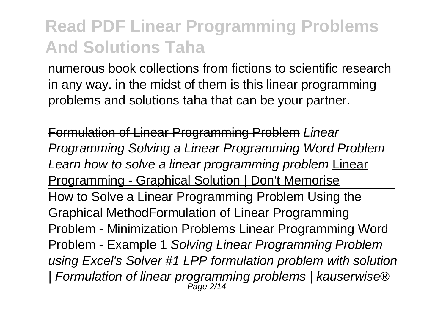numerous book collections from fictions to scientific research in any way. in the midst of them is this linear programming problems and solutions taha that can be your partner.

Formulation of Linear Programming Problem Linear Programming Solving a Linear Programming Word Problem Learn how to solve a linear programming problem Linear Programming - Graphical Solution | Don't Memorise How to Solve a Linear Programming Problem Using the Graphical MethodFormulation of Linear Programming Problem - Minimization Problems Linear Programming Word Problem - Example 1 Solving Linear Programming Problem using Excel's Solver #1 LPP formulation problem with solution | Formulation of linear programming problems | kauserwise® Page 2/14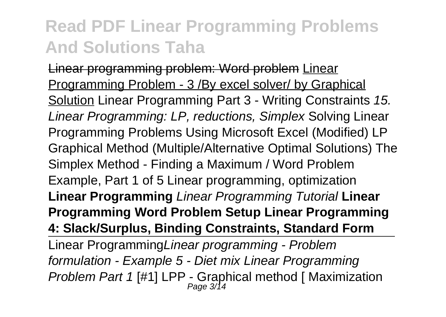Linear programming problem: Word problem Linear Programming Problem - 3 /By excel solver/ by Graphical Solution Linear Programming Part 3 - Writing Constraints 15. Linear Programming: LP, reductions, Simplex Solving Linear Programming Problems Using Microsoft Excel (Modified) LP Graphical Method (Multiple/Alternative Optimal Solutions) The Simplex Method - Finding a Maximum / Word Problem Example, Part 1 of 5 Linear programming, optimization **Linear Programming** Linear Programming Tutorial **Linear Programming Word Problem Setup Linear Programming 4: Slack/Surplus, Binding Constraints, Standard Form** Linear ProgrammingLinear programming - Problem formulation - Example 5 - Diet mix Linear Programming Problem Part 1 [#1] LPP - Graphical method [ Maximization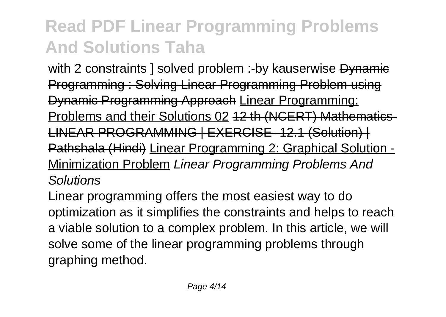with 2 constraints I solved problem :-by kauserwise Dynamie Programming : Solving Linear Programming Problem using Dynamic Programming Approach Linear Programming: Problems and their Solutions 02 12 th (NCERT) Mathematics-LINEAR PROGRAMMING | EXERCISE- 12.1 (Solution) | Pathshala (Hindi) Linear Programming 2: Graphical Solution - Minimization Problem Linear Programming Problems And **Solutions** 

Linear programming offers the most easiest way to do optimization as it simplifies the constraints and helps to reach a viable solution to a complex problem. In this article, we will solve some of the linear programming problems through graphing method.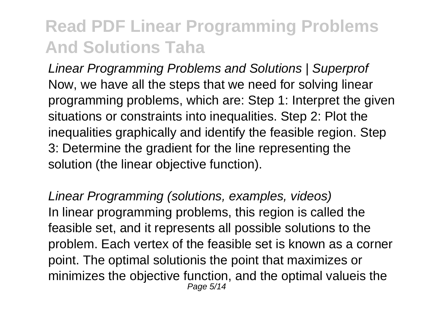Linear Programming Problems and Solutions | Superprof Now, we have all the steps that we need for solving linear programming problems, which are: Step 1: Interpret the given situations or constraints into inequalities. Step 2: Plot the inequalities graphically and identify the feasible region. Step 3: Determine the gradient for the line representing the solution (the linear objective function).

Linear Programming (solutions, examples, videos) In linear programming problems, this region is called the feasible set, and it represents all possible solutions to the problem. Each vertex of the feasible set is known as a corner point. The optimal solutionis the point that maximizes or minimizes the objective function, and the optimal valueis the Page 5/14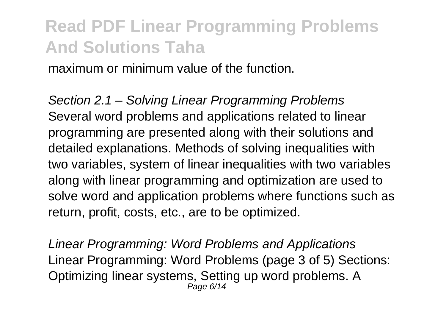maximum or minimum value of the function.

Section 2.1 – Solving Linear Programming Problems Several word problems and applications related to linear programming are presented along with their solutions and detailed explanations. Methods of solving inequalities with two variables, system of linear inequalities with two variables along with linear programming and optimization are used to solve word and application problems where functions such as return, profit, costs, etc., are to be optimized.

Linear Programming: Word Problems and Applications Linear Programming: Word Problems (page 3 of 5) Sections: Optimizing linear systems, Setting up word problems. A Page 6/14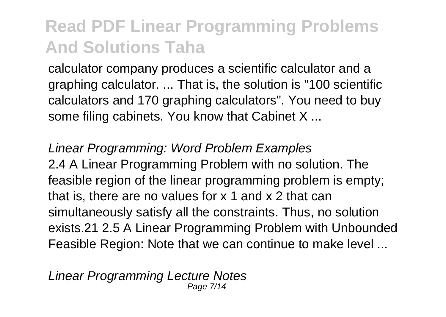calculator company produces a scientific calculator and a graphing calculator. ... That is, the solution is "100 scientific calculators and 170 graphing calculators". You need to buy some filing cabinets. You know that Cabinet X ...

Linear Programming: Word Problem Examples 2.4 A Linear Programming Problem with no solution. The feasible region of the linear programming problem is empty: that is, there are no values for x 1 and x 2 that can simultaneously satisfy all the constraints. Thus, no solution exists.21 2.5 A Linear Programming Problem with Unbounded Feasible Region: Note that we can continue to make level ...

Linear Programming Lecture Notes Page 7/14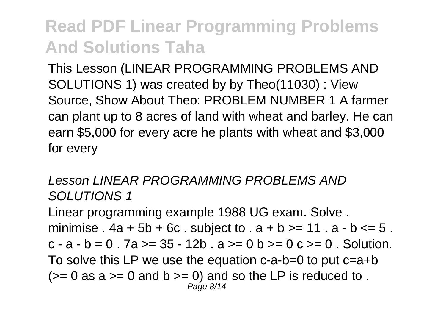This Lesson (LINEAR PROGRAMMING PROBLEMS AND SOLUTIONS 1) was created by by Theo(11030) : View Source, Show About Theo: PROBLEM NUMBER 1 A farmer can plant up to 8 acres of land with wheat and barley. He can earn \$5,000 for every acre he plants with wheat and \$3,000 for every

#### Lesson LINEAR PROGRAMMING PROBLEMS AND SOLUTIONS 1

Linear programming example 1988 UG exam. Solve . minimise  $.4a + 5b + 6c$ . subject to  $. a + b >= 11$ .  $a - b <= 5$ .  $c - a - b = 0$ .  $7a \ge 35 - 12b$ .  $a \ge 0$   $b \ge 0$   $c \ge 0$ . Solution. To solve this LP we use the equation c-a-b=0 to put c=a+b  $(>= 0$  as a  $>= 0$  and b  $>= 0$ ) and so the LP is reduced to. Page 8/14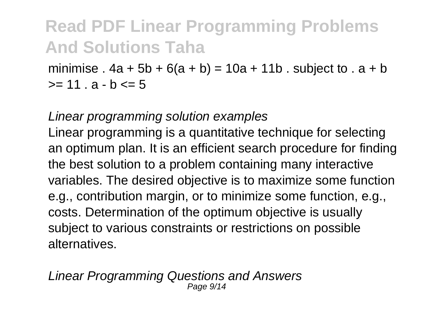minimise .  $4a + 5b + 6(a + b) = 10a + 11b$ . subject to .  $a + b$  $>= 11. a - h \le 5$ 

#### Linear programming solution examples

Linear programming is a quantitative technique for selecting an optimum plan. It is an efficient search procedure for finding the best solution to a problem containing many interactive variables. The desired objective is to maximize some function e.g., contribution margin, or to minimize some function, e.g., costs. Determination of the optimum objective is usually subject to various constraints or restrictions on possible alternatives.

Linear Programming Questions and Answers Page  $9/$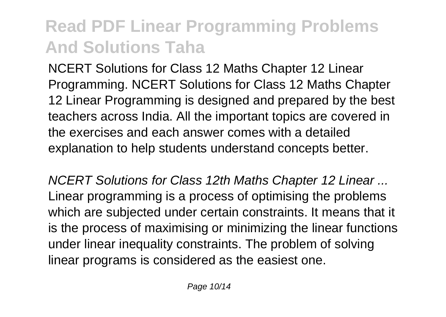NCERT Solutions for Class 12 Maths Chapter 12 Linear Programming. NCERT Solutions for Class 12 Maths Chapter 12 Linear Programming is designed and prepared by the best teachers across India. All the important topics are covered in the exercises and each answer comes with a detailed explanation to help students understand concepts better.

NCERT Solutions for Class 12th Maths Chapter 12 Linear ... Linear programming is a process of optimising the problems which are subjected under certain constraints. It means that it is the process of maximising or minimizing the linear functions under linear inequality constraints. The problem of solving linear programs is considered as the easiest one.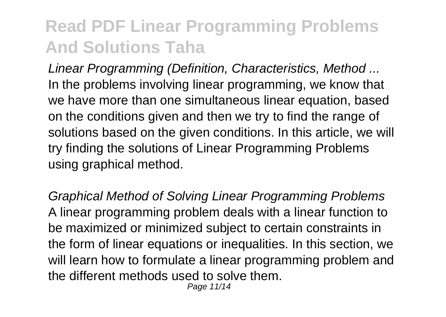Linear Programming (Definition, Characteristics, Method ... In the problems involving linear programming, we know that we have more than one simultaneous linear equation, based on the conditions given and then we try to find the range of solutions based on the given conditions. In this article, we will try finding the solutions of Linear Programming Problems using graphical method.

Graphical Method of Solving Linear Programming Problems A linear programming problem deals with a linear function to be maximized or minimized subject to certain constraints in the form of linear equations or inequalities. In this section, we will learn how to formulate a linear programming problem and the different methods used to solve them.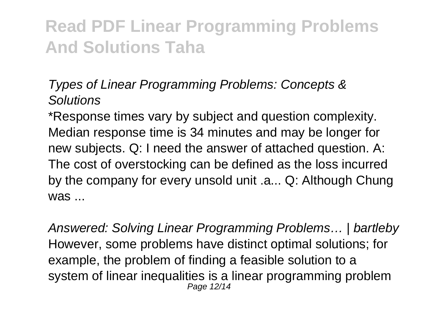#### Types of Linear Programming Problems: Concepts & **Solutions**

\*Response times vary by subject and question complexity. Median response time is 34 minutes and may be longer for new subjects. Q: I need the answer of attached question. A: The cost of overstocking can be defined as the loss incurred by the company for every unsold unit .a... Q: Although Chung was ...

Answered: Solving Linear Programming Problems… | bartleby However, some problems have distinct optimal solutions; for example, the problem of finding a feasible solution to a system of linear inequalities is a linear programming problem Page 12/14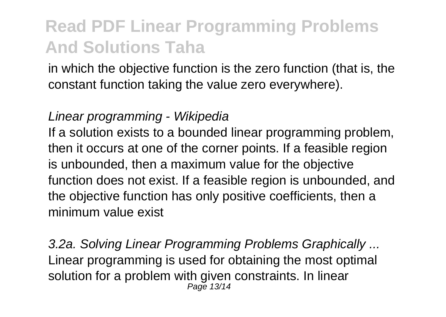in which the objective function is the zero function (that is, the constant function taking the value zero everywhere).

#### Linear programming - Wikipedia

If a solution exists to a bounded linear programming problem, then it occurs at one of the corner points. If a feasible region is unbounded, then a maximum value for the objective function does not exist. If a feasible region is unbounded, and the objective function has only positive coefficients, then a minimum value exist

3.2a. Solving Linear Programming Problems Graphically ... Linear programming is used for obtaining the most optimal solution for a problem with given constraints. In linear Page 13/14